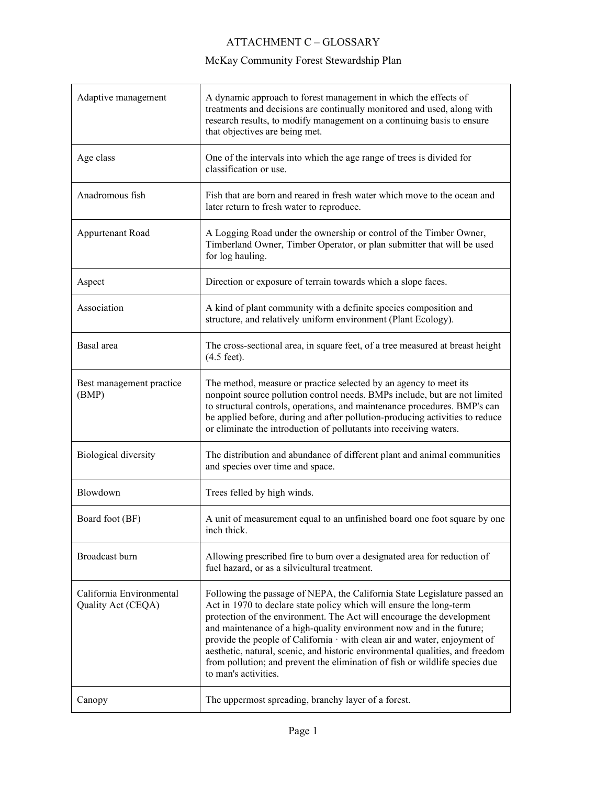## ATTACHMENT C – GLOSSARY

| Adaptive management                            | A dynamic approach to forest management in which the effects of<br>treatments and decisions are continually monitored and used, along with<br>research results, to modify management on a continuing basis to ensure<br>that objectives are being met.                                                                                                                                                                                                                                                                                                                 |
|------------------------------------------------|------------------------------------------------------------------------------------------------------------------------------------------------------------------------------------------------------------------------------------------------------------------------------------------------------------------------------------------------------------------------------------------------------------------------------------------------------------------------------------------------------------------------------------------------------------------------|
| Age class                                      | One of the intervals into which the age range of trees is divided for<br>classification or use.                                                                                                                                                                                                                                                                                                                                                                                                                                                                        |
| Anadromous fish                                | Fish that are born and reared in fresh water which move to the ocean and<br>later return to fresh water to reproduce.                                                                                                                                                                                                                                                                                                                                                                                                                                                  |
| Appurtenant Road                               | A Logging Road under the ownership or control of the Timber Owner,<br>Timberland Owner, Timber Operator, or plan submitter that will be used<br>for log hauling.                                                                                                                                                                                                                                                                                                                                                                                                       |
| Aspect                                         | Direction or exposure of terrain towards which a slope faces.                                                                                                                                                                                                                                                                                                                                                                                                                                                                                                          |
| Association                                    | A kind of plant community with a definite species composition and<br>structure, and relatively uniform environment (Plant Ecology).                                                                                                                                                                                                                                                                                                                                                                                                                                    |
| Basal area                                     | The cross-sectional area, in square feet, of a tree measured at breast height<br>$(4.5$ feet).                                                                                                                                                                                                                                                                                                                                                                                                                                                                         |
| Best management practice<br>(BMP)              | The method, measure or practice selected by an agency to meet its<br>nonpoint source pollution control needs. BMPs include, but are not limited<br>to structural controls, operations, and maintenance procedures. BMP's can<br>be applied before, during and after pollution-producing activities to reduce<br>or eliminate the introduction of pollutants into receiving waters.                                                                                                                                                                                     |
| Biological diversity                           | The distribution and abundance of different plant and animal communities<br>and species over time and space.                                                                                                                                                                                                                                                                                                                                                                                                                                                           |
| Blowdown                                       | Trees felled by high winds.                                                                                                                                                                                                                                                                                                                                                                                                                                                                                                                                            |
| Board foot (BF)                                | A unit of measurement equal to an unfinished board one foot square by one<br>inch thick.                                                                                                                                                                                                                                                                                                                                                                                                                                                                               |
| Broadcast burn                                 | Allowing prescribed fire to bum over a designated area for reduction of<br>fuel hazard, or as a silvicultural treatment.                                                                                                                                                                                                                                                                                                                                                                                                                                               |
| California Environmental<br>Quality Act (CEQA) | Following the passage of NEPA, the California State Legislature passed an<br>Act in 1970 to declare state policy which will ensure the long-term<br>protection of the environment. The Act will encourage the development<br>and maintenance of a high-quality environment now and in the future;<br>provide the people of California · with clean air and water, enjoyment of<br>aesthetic, natural, scenic, and historic environmental qualities, and freedom<br>from pollution; and prevent the elimination of fish or wildlife species due<br>to man's activities. |
| Canopy                                         | The uppermost spreading, branchy layer of a forest.                                                                                                                                                                                                                                                                                                                                                                                                                                                                                                                    |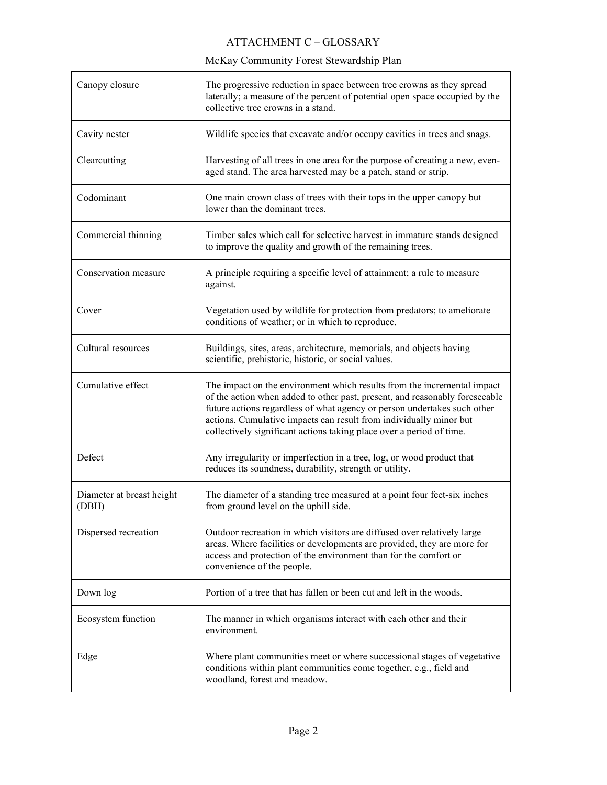| Canopy closure                     | The progressive reduction in space between tree crowns as they spread<br>laterally; a measure of the percent of potential open space occupied by the<br>collective tree crowns in a stand.                                                                                                                                                                                       |
|------------------------------------|----------------------------------------------------------------------------------------------------------------------------------------------------------------------------------------------------------------------------------------------------------------------------------------------------------------------------------------------------------------------------------|
| Cavity nester                      | Wildlife species that excavate and/or occupy cavities in trees and snags.                                                                                                                                                                                                                                                                                                        |
| Clearcutting                       | Harvesting of all trees in one area for the purpose of creating a new, even-<br>aged stand. The area harvested may be a patch, stand or strip.                                                                                                                                                                                                                                   |
| Codominant                         | One main crown class of trees with their tops in the upper canopy but<br>lower than the dominant trees.                                                                                                                                                                                                                                                                          |
| Commercial thinning                | Timber sales which call for selective harvest in immature stands designed<br>to improve the quality and growth of the remaining trees.                                                                                                                                                                                                                                           |
| Conservation measure               | A principle requiring a specific level of attainment; a rule to measure<br>against.                                                                                                                                                                                                                                                                                              |
| Cover                              | Vegetation used by wildlife for protection from predators; to ameliorate<br>conditions of weather; or in which to reproduce.                                                                                                                                                                                                                                                     |
| Cultural resources                 | Buildings, sites, areas, architecture, memorials, and objects having<br>scientific, prehistoric, historic, or social values.                                                                                                                                                                                                                                                     |
| Cumulative effect                  | The impact on the environment which results from the incremental impact<br>of the action when added to other past, present, and reasonably foreseeable<br>future actions regardless of what agency or person undertakes such other<br>actions. Cumulative impacts can result from individually minor but<br>collectively significant actions taking place over a period of time. |
| Defect                             | Any irregularity or imperfection in a tree, log, or wood product that<br>reduces its soundness, durability, strength or utility.                                                                                                                                                                                                                                                 |
| Diameter at breast height<br>(DBH) | The diameter of a standing tree measured at a point four feet-six inches<br>from ground level on the uphill side.                                                                                                                                                                                                                                                                |
| Dispersed recreation               | Outdoor recreation in which visitors are diffused over relatively large<br>areas. Where facilities or developments are provided, they are more for<br>access and protection of the environment than for the comfort or<br>convenience of the people.                                                                                                                             |
| Down log                           | Portion of a tree that has fallen or been cut and left in the woods.                                                                                                                                                                                                                                                                                                             |
| Ecosystem function                 | The manner in which organisms interact with each other and their<br>environment.                                                                                                                                                                                                                                                                                                 |
| Edge                               | Where plant communities meet or where successional stages of vegetative<br>conditions within plant communities come together, e.g., field and<br>woodland, forest and meadow.                                                                                                                                                                                                    |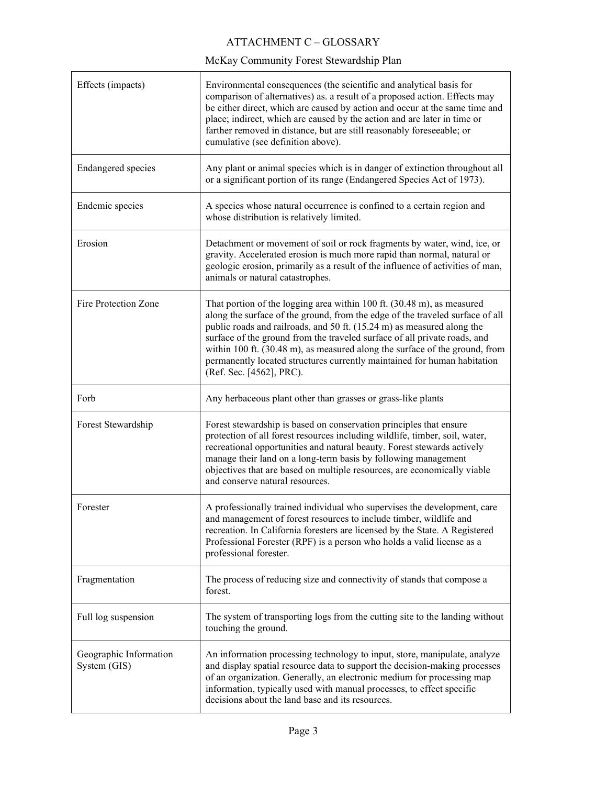| Effects (impacts)                      | Environmental consequences (the scientific and analytical basis for<br>comparison of alternatives) as. a result of a proposed action. Effects may<br>be either direct, which are caused by action and occur at the same time and<br>place; indirect, which are caused by the action and are later in time or<br>farther removed in distance, but are still reasonably foreseeable; or<br>cumulative (see definition above).                                                                           |
|----------------------------------------|-------------------------------------------------------------------------------------------------------------------------------------------------------------------------------------------------------------------------------------------------------------------------------------------------------------------------------------------------------------------------------------------------------------------------------------------------------------------------------------------------------|
| <b>Endangered</b> species              | Any plant or animal species which is in danger of extinction throughout all<br>or a significant portion of its range (Endangered Species Act of 1973).                                                                                                                                                                                                                                                                                                                                                |
| Endemic species                        | A species whose natural occurrence is confined to a certain region and<br>whose distribution is relatively limited.                                                                                                                                                                                                                                                                                                                                                                                   |
| Erosion                                | Detachment or movement of soil or rock fragments by water, wind, ice, or<br>gravity. Accelerated erosion is much more rapid than normal, natural or<br>geologic erosion, primarily as a result of the influence of activities of man,<br>animals or natural catastrophes.                                                                                                                                                                                                                             |
| Fire Protection Zone                   | That portion of the logging area within 100 ft. (30.48 m), as measured<br>along the surface of the ground, from the edge of the traveled surface of all<br>public roads and railroads, and 50 ft. (15.24 m) as measured along the<br>surface of the ground from the traveled surface of all private roads, and<br>within 100 ft. (30.48 m), as measured along the surface of the ground, from<br>permanently located structures currently maintained for human habitation<br>(Ref. Sec. [4562], PRC). |
| Forb                                   | Any herbaceous plant other than grasses or grass-like plants                                                                                                                                                                                                                                                                                                                                                                                                                                          |
| Forest Stewardship                     | Forest stewardship is based on conservation principles that ensure<br>protection of all forest resources including wildlife, timber, soil, water,<br>recreational opportunities and natural beauty. Forest stewards actively<br>manage their land on a long-term basis by following management<br>objectives that are based on multiple resources, are economically viable<br>and conserve natural resources.                                                                                         |
| Forester                               | A professionally trained individual who supervises the development, care<br>and management of forest resources to include timber, wildlife and<br>recreation. In California foresters are licensed by the State. A Registered<br>Professional Forester (RPF) is a person who holds a valid license as a<br>professional forester.                                                                                                                                                                     |
| Fragmentation                          | The process of reducing size and connectivity of stands that compose a<br>forest.                                                                                                                                                                                                                                                                                                                                                                                                                     |
| Full log suspension                    | The system of transporting logs from the cutting site to the landing without<br>touching the ground.                                                                                                                                                                                                                                                                                                                                                                                                  |
| Geographic Information<br>System (GIS) | An information processing technology to input, store, manipulate, analyze<br>and display spatial resource data to support the decision-making processes<br>of an organization. Generally, an electronic medium for processing map<br>information, typically used with manual processes, to effect specific<br>decisions about the land base and its resources.                                                                                                                                        |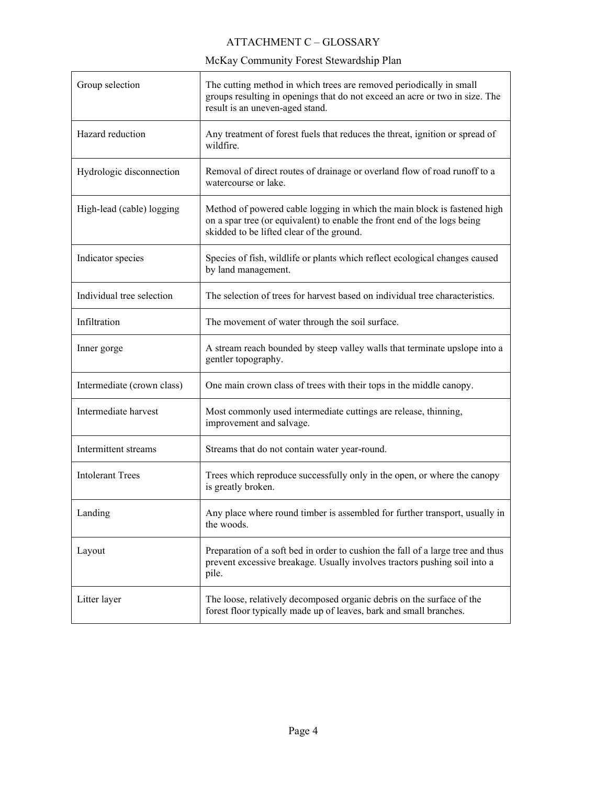| Group selection            | The cutting method in which trees are removed periodically in small<br>groups resulting in openings that do not exceed an acre or two in size. The<br>result is an uneven-aged stand.             |
|----------------------------|---------------------------------------------------------------------------------------------------------------------------------------------------------------------------------------------------|
| Hazard reduction           | Any treatment of forest fuels that reduces the threat, ignition or spread of<br>wildfire.                                                                                                         |
| Hydrologic disconnection   | Removal of direct routes of drainage or overland flow of road runoff to a<br>watercourse or lake.                                                                                                 |
| High-lead (cable) logging  | Method of powered cable logging in which the main block is fastened high<br>on a spar tree (or equivalent) to enable the front end of the logs being<br>skidded to be lifted clear of the ground. |
| Indicator species          | Species of fish, wildlife or plants which reflect ecological changes caused<br>by land management.                                                                                                |
| Individual tree selection  | The selection of trees for harvest based on individual tree characteristics.                                                                                                                      |
| Infiltration               | The movement of water through the soil surface.                                                                                                                                                   |
| Inner gorge                | A stream reach bounded by steep valley walls that terminate upslope into a<br>gentler topography.                                                                                                 |
| Intermediate (crown class) | One main crown class of trees with their tops in the middle canopy.                                                                                                                               |
| Intermediate harvest       | Most commonly used intermediate cuttings are release, thinning,<br>improvement and salvage.                                                                                                       |
| Intermittent streams       | Streams that do not contain water year-round.                                                                                                                                                     |
| <b>Intolerant Trees</b>    | Trees which reproduce successfully only in the open, or where the canopy<br>is greatly broken.                                                                                                    |
| Landing                    | Any place where round timber is assembled for further transport, usually in<br>the woods.                                                                                                         |
| Layout                     | Preparation of a soft bed in order to cushion the fall of a large tree and thus<br>prevent excessive breakage. Usually involves tractors pushing soil into a<br>pile.                             |
| Litter layer               | The loose, relatively decomposed organic debris on the surface of the<br>forest floor typically made up of leaves, bark and small branches.                                                       |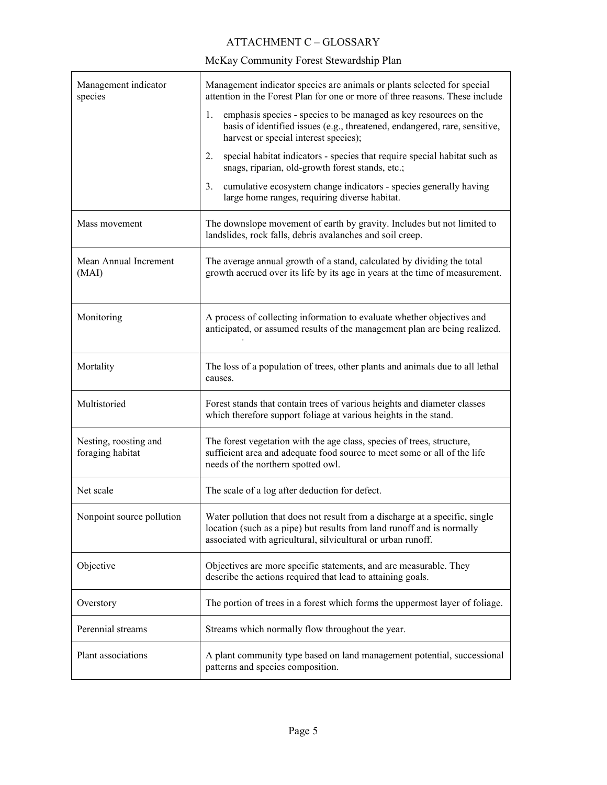| Management indicator<br>species           | Management indicator species are animals or plants selected for special<br>attention in the Forest Plan for one or more of three reasons. These include                                                               |
|-------------------------------------------|-----------------------------------------------------------------------------------------------------------------------------------------------------------------------------------------------------------------------|
|                                           | emphasis species - species to be managed as key resources on the<br>1.<br>basis of identified issues (e.g., threatened, endangered, rare, sensitive,<br>harvest or special interest species);                         |
|                                           | special habitat indicators - species that require special habitat such as<br>2.<br>snags, riparian, old-growth forest stands, etc.;                                                                                   |
|                                           | cumulative ecosystem change indicators - species generally having<br>3.<br>large home ranges, requiring diverse habitat.                                                                                              |
| Mass movement                             | The downslope movement of earth by gravity. Includes but not limited to<br>landslides, rock falls, debris avalanches and soil creep.                                                                                  |
| Mean Annual Increment<br>(MAI)            | The average annual growth of a stand, calculated by dividing the total<br>growth accrued over its life by its age in years at the time of measurement.                                                                |
| Monitoring                                | A process of collecting information to evaluate whether objectives and<br>anticipated, or assumed results of the management plan are being realized.                                                                  |
| Mortality                                 | The loss of a population of trees, other plants and animals due to all lethal<br>causes.                                                                                                                              |
| Multistoried                              | Forest stands that contain trees of various heights and diameter classes<br>which therefore support foliage at various heights in the stand.                                                                          |
| Nesting, roosting and<br>foraging habitat | The forest vegetation with the age class, species of trees, structure,<br>sufficient area and adequate food source to meet some or all of the life<br>needs of the northern spotted owl.                              |
| Net scale                                 | The scale of a log after deduction for defect.                                                                                                                                                                        |
| Nonpoint source pollution                 | Water pollution that does not result from a discharge at a specific, single<br>location (such as a pipe) but results from land runoff and is normally<br>associated with agricultural, silvicultural or urban runoff. |
| Objective                                 | Objectives are more specific statements, and are measurable. They<br>describe the actions required that lead to attaining goals.                                                                                      |
| Overstory                                 | The portion of trees in a forest which forms the uppermost layer of foliage.                                                                                                                                          |
| Perennial streams                         | Streams which normally flow throughout the year.                                                                                                                                                                      |
| Plant associations                        | A plant community type based on land management potential, successional<br>patterns and species composition.                                                                                                          |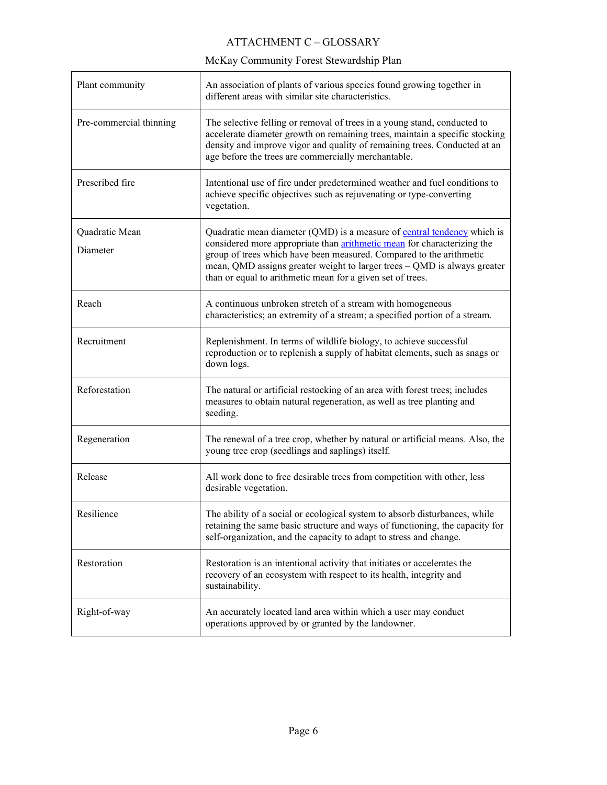| Plant community            | An association of plants of various species found growing together in<br>different areas with similar site characteristics.                                                                                                                                                                                                                                                       |
|----------------------------|-----------------------------------------------------------------------------------------------------------------------------------------------------------------------------------------------------------------------------------------------------------------------------------------------------------------------------------------------------------------------------------|
| Pre-commercial thinning    | The selective felling or removal of trees in a young stand, conducted to<br>accelerate diameter growth on remaining trees, maintain a specific stocking<br>density and improve vigor and quality of remaining trees. Conducted at an<br>age before the trees are commercially merchantable.                                                                                       |
| Prescribed fire            | Intentional use of fire under predetermined weather and fuel conditions to<br>achieve specific objectives such as rejuvenating or type-converting<br>vegetation.                                                                                                                                                                                                                  |
| Quadratic Mean<br>Diameter | Quadratic mean diameter (QMD) is a measure of <b>central tendency</b> which is<br>considered more appropriate than <i>arithmetic</i> mean for characterizing the<br>group of trees which have been measured. Compared to the arithmetic<br>mean, QMD assigns greater weight to larger trees - QMD is always greater<br>than or equal to arithmetic mean for a given set of trees. |
| Reach                      | A continuous unbroken stretch of a stream with homogeneous<br>characteristics; an extremity of a stream; a specified portion of a stream.                                                                                                                                                                                                                                         |
| Recruitment                | Replenishment. In terms of wildlife biology, to achieve successful<br>reproduction or to replenish a supply of habitat elements, such as snags or<br>down logs.                                                                                                                                                                                                                   |
| Reforestation              | The natural or artificial restocking of an area with forest trees; includes<br>measures to obtain natural regeneration, as well as tree planting and<br>seeding.                                                                                                                                                                                                                  |
| Regeneration               | The renewal of a tree crop, whether by natural or artificial means. Also, the<br>young tree crop (seedlings and saplings) itself.                                                                                                                                                                                                                                                 |
| Release                    | All work done to free desirable trees from competition with other, less<br>desirable vegetation.                                                                                                                                                                                                                                                                                  |
| Resilience                 | The ability of a social or ecological system to absorb disturbances, while<br>retaining the same basic structure and ways of functioning, the capacity for<br>self-organization, and the capacity to adapt to stress and change.                                                                                                                                                  |
| Restoration                | Restoration is an intentional activity that initiates or accelerates the<br>recovery of an ecosystem with respect to its health, integrity and<br>sustainability.                                                                                                                                                                                                                 |
| Right-of-way               | An accurately located land area within which a user may conduct<br>operations approved by or granted by the landowner.                                                                                                                                                                                                                                                            |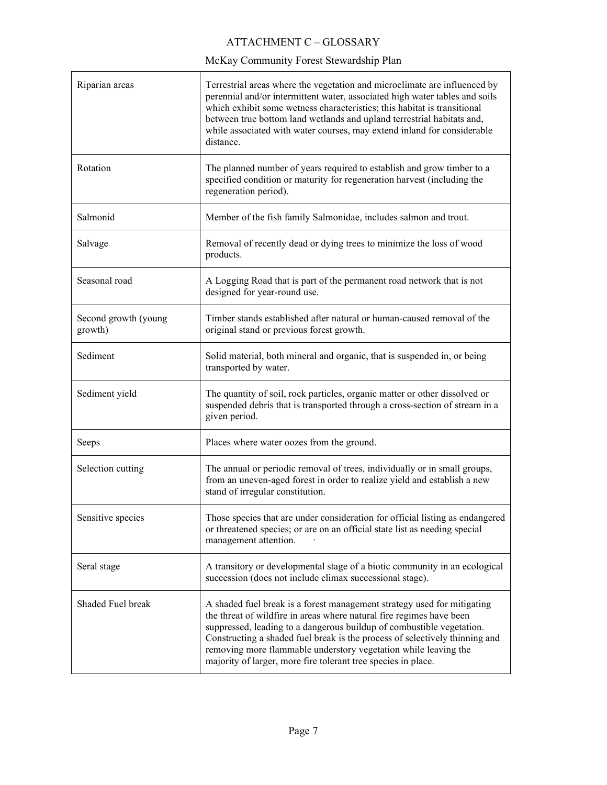| Riparian areas                  | Terrestrial areas where the vegetation and microclimate are influenced by<br>perennial and/or intermittent water, associated high water tables and soils<br>which exhibit some wetness characteristics; this habitat is transitional<br>between true bottom land wetlands and upland terrestrial habitats and,<br>while associated with water courses, may extend inland for considerable<br>distance.                                      |
|---------------------------------|---------------------------------------------------------------------------------------------------------------------------------------------------------------------------------------------------------------------------------------------------------------------------------------------------------------------------------------------------------------------------------------------------------------------------------------------|
| Rotation                        | The planned number of years required to establish and grow timber to a<br>specified condition or maturity for regeneration harvest (including the<br>regeneration period).                                                                                                                                                                                                                                                                  |
| Salmonid                        | Member of the fish family Salmonidae, includes salmon and trout.                                                                                                                                                                                                                                                                                                                                                                            |
| Salvage                         | Removal of recently dead or dying trees to minimize the loss of wood<br>products.                                                                                                                                                                                                                                                                                                                                                           |
| Seasonal road                   | A Logging Road that is part of the permanent road network that is not<br>designed for year-round use.                                                                                                                                                                                                                                                                                                                                       |
| Second growth (young<br>growth) | Timber stands established after natural or human-caused removal of the<br>original stand or previous forest growth.                                                                                                                                                                                                                                                                                                                         |
| Sediment                        | Solid material, both mineral and organic, that is suspended in, or being<br>transported by water.                                                                                                                                                                                                                                                                                                                                           |
| Sediment yield                  | The quantity of soil, rock particles, organic matter or other dissolved or<br>suspended debris that is transported through a cross-section of stream in a<br>given period.                                                                                                                                                                                                                                                                  |
| Seeps                           | Places where water oozes from the ground.                                                                                                                                                                                                                                                                                                                                                                                                   |
| Selection cutting               | The annual or periodic removal of trees, individually or in small groups,<br>from an uneven-aged forest in order to realize yield and establish a new<br>stand of irregular constitution.                                                                                                                                                                                                                                                   |
| Sensitive species               | Those species that are under consideration for official listing as endangered<br>or threatened species; or are on an official state list as needing special<br>management attention.                                                                                                                                                                                                                                                        |
| Seral stage                     | A transitory or developmental stage of a biotic community in an ecological<br>succession (does not include climax successional stage).                                                                                                                                                                                                                                                                                                      |
| Shaded Fuel break               | A shaded fuel break is a forest management strategy used for mitigating<br>the threat of wildfire in areas where natural fire regimes have been<br>suppressed, leading to a dangerous buildup of combustible vegetation.<br>Constructing a shaded fuel break is the process of selectively thinning and<br>removing more flammable understory vegetation while leaving the<br>majority of larger, more fire tolerant tree species in place. |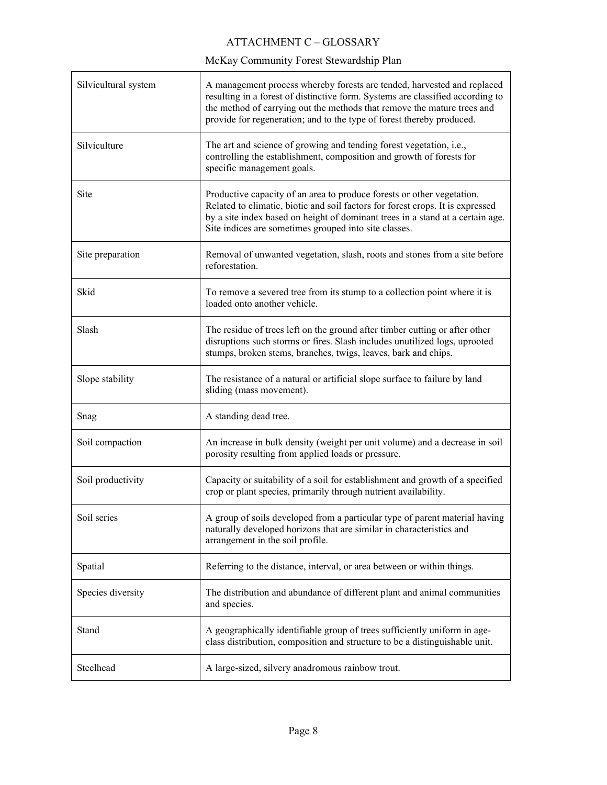| Silvicultural system | A management process whereby forests are tended, harvested and replaced<br>resulting in a forest of distinctive form. Systems are classified according to<br>the method of carrying out the methods that remove the mature trees and<br>provide for regeneration; and to the type of forest thereby produced. |
|----------------------|---------------------------------------------------------------------------------------------------------------------------------------------------------------------------------------------------------------------------------------------------------------------------------------------------------------|
| Silviculture         | The art and science of growing and tending forest vegetation, i.e.,<br>controlling the establishment, composition and growth of forests for<br>specific management goals.                                                                                                                                     |
| Site                 | Productive capacity of an area to produce forests or other vegetation.<br>Related to climatic, biotic and soil factors for forest crops. It is expressed<br>by a site index based on height of dominant trees in a stand at a certain age.<br>Site indices are sometimes grouped into site classes.           |
| Site preparation     | Removal of unwanted vegetation, slash, roots and stones from a site before<br>reforestation.                                                                                                                                                                                                                  |
| Skid                 | To remove a severed tree from its stump to a collection point where it is<br>loaded onto another vehicle.                                                                                                                                                                                                     |
| Slash                | The residue of trees left on the ground after timber cutting or after other<br>disruptions such storms or fires. Slash includes unutilized logs, uprooted<br>stumps, broken stems, branches, twigs, leaves, bark and chips.                                                                                   |
| Slope stability      | The resistance of a natural or artificial slope surface to failure by land<br>sliding (mass movement).                                                                                                                                                                                                        |
| Snag                 | A standing dead tree.                                                                                                                                                                                                                                                                                         |
| Soil compaction      | An increase in bulk density (weight per unit volume) and a decrease in soil<br>porosity resulting from applied loads or pressure.                                                                                                                                                                             |
| Soil productivity    | Capacity or suitability of a soil for establishment and growth of a specified<br>crop or plant species, primarily through nutrient availability.                                                                                                                                                              |
| Soil series          | A group of soils developed from a particular type of parent material having<br>naturally developed horizons that are similar in characteristics and<br>arrangement in the soil profile.                                                                                                                       |
| Spatial              | Referring to the distance, interval, or area between or within things.                                                                                                                                                                                                                                        |
| Species diversity    | The distribution and abundance of different plant and animal communities<br>and species.                                                                                                                                                                                                                      |
| Stand                | A geographically identifiable group of trees sufficiently uniform in age-<br>class distribution, composition and structure to be a distinguishable unit.                                                                                                                                                      |
| Steelhead            | A large-sized, silvery anadromous rainbow trout.                                                                                                                                                                                                                                                              |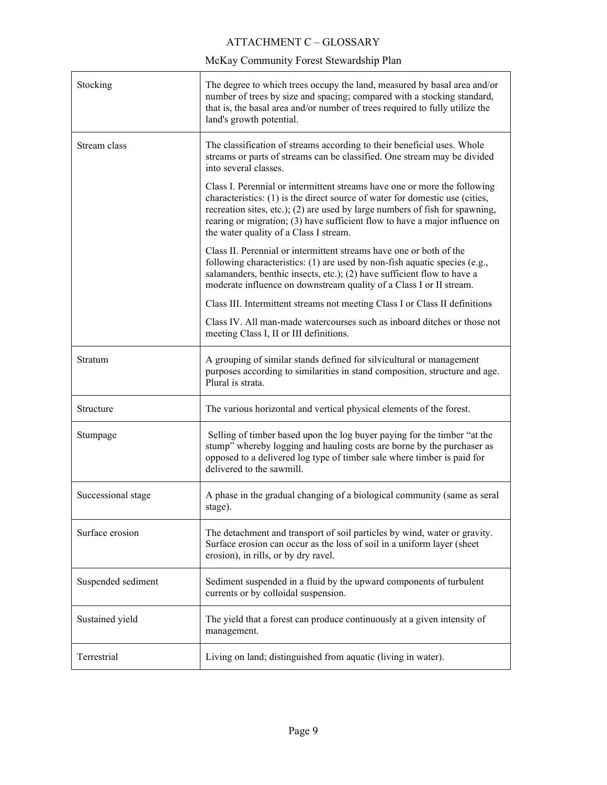#### ATTACHMENT C – GLOSSARY

| Stocking           | The degree to which trees occupy the land, measured by basal area and/or<br>number of trees by size and spacing; compared with a stocking standard,<br>that is, the basal area and/or number of trees required to fully utilize the<br>land's growth potential.                                                                                                    |
|--------------------|--------------------------------------------------------------------------------------------------------------------------------------------------------------------------------------------------------------------------------------------------------------------------------------------------------------------------------------------------------------------|
| Stream class       | The classification of streams according to their beneficial uses. Whole<br>streams or parts of streams can be classified. One stream may be divided<br>into several classes.                                                                                                                                                                                       |
|                    | Class I. Perennial or intermittent streams have one or more the following<br>characteristics: (1) is the direct source of water for domestic use (cities,<br>recreation sites, etc.); (2) are used by large numbers of fish for spawning,<br>rearing or migration; (3) have sufficient flow to have a major influence on<br>the water quality of a Class I stream. |
|                    | Class II. Perennial or intermittent streams have one or both of the<br>following characteristics: $(1)$ are used by non-fish aquatic species (e.g.,<br>salamanders, benthic insects, etc.); (2) have sufficient flow to have a<br>moderate influence on downstream quality of a Class I or II stream.                                                              |
|                    | Class III. Intermittent streams not meeting Class I or Class II definitions                                                                                                                                                                                                                                                                                        |
|                    | Class IV. All man-made watercourses such as inboard ditches or those not<br>meeting Class I, II or III definitions.                                                                                                                                                                                                                                                |
| Stratum            | A grouping of similar stands defined for silvicultural or management<br>purposes according to similarities in stand composition, structure and age.<br>Plural is strata.                                                                                                                                                                                           |
| Structure          | The various horizontal and vertical physical elements of the forest.                                                                                                                                                                                                                                                                                               |
| Stumpage           | Selling of timber based upon the log buyer paying for the timber "at the<br>stump" whereby logging and hauling costs are borne by the purchaser as<br>opposed to a delivered log type of timber sale where timber is paid for<br>delivered to the sawmill.                                                                                                         |
| Successional stage | A phase in the gradual changing of a biological community (same as seral<br>stage).                                                                                                                                                                                                                                                                                |
| Surface erosion    | The detachment and transport of soil particles by wind, water or gravity.<br>Surface erosion can occur as the loss of soil in a uniform layer (sheet<br>erosion), in rills, or by dry ravel.                                                                                                                                                                       |
| Suspended sediment | Sediment suspended in a fluid by the upward components of turbulent<br>currents or by colloidal suspension.                                                                                                                                                                                                                                                        |
| Sustained yield    | The yield that a forest can produce continuously at a given intensity of<br>management.                                                                                                                                                                                                                                                                            |
| Terrestrial        | Living on land; distinguished from aquatic (living in water).                                                                                                                                                                                                                                                                                                      |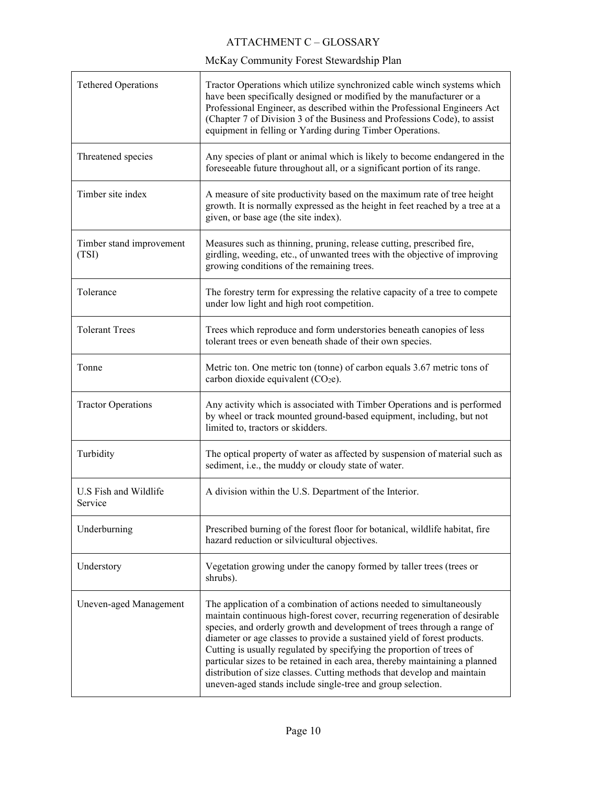| <b>Tethered Operations</b>        | Tractor Operations which utilize synchronized cable winch systems which<br>have been specifically designed or modified by the manufacturer or a<br>Professional Engineer, as described within the Professional Engineers Act<br>(Chapter 7 of Division 3 of the Business and Professions Code), to assist<br>equipment in felling or Yarding during Timber Operations.                                                                                                                                                                                                                                      |
|-----------------------------------|-------------------------------------------------------------------------------------------------------------------------------------------------------------------------------------------------------------------------------------------------------------------------------------------------------------------------------------------------------------------------------------------------------------------------------------------------------------------------------------------------------------------------------------------------------------------------------------------------------------|
| Threatened species                | Any species of plant or animal which is likely to become endangered in the<br>foreseeable future throughout all, or a significant portion of its range.                                                                                                                                                                                                                                                                                                                                                                                                                                                     |
| Timber site index                 | A measure of site productivity based on the maximum rate of tree height<br>growth. It is normally expressed as the height in feet reached by a tree at a<br>given, or base age (the site index).                                                                                                                                                                                                                                                                                                                                                                                                            |
| Timber stand improvement<br>(TSI) | Measures such as thinning, pruning, release cutting, prescribed fire,<br>girdling, weeding, etc., of unwanted trees with the objective of improving<br>growing conditions of the remaining trees.                                                                                                                                                                                                                                                                                                                                                                                                           |
| Tolerance                         | The forestry term for expressing the relative capacity of a tree to compete<br>under low light and high root competition.                                                                                                                                                                                                                                                                                                                                                                                                                                                                                   |
| <b>Tolerant Trees</b>             | Trees which reproduce and form understories beneath canopies of less<br>tolerant trees or even beneath shade of their own species.                                                                                                                                                                                                                                                                                                                                                                                                                                                                          |
| Tonne                             | Metric ton. One metric ton (tonne) of carbon equals 3.67 metric tons of<br>carbon dioxide equivalent (CO <sub>2</sub> e).                                                                                                                                                                                                                                                                                                                                                                                                                                                                                   |
| <b>Tractor Operations</b>         | Any activity which is associated with Timber Operations and is performed<br>by wheel or track mounted ground-based equipment, including, but not<br>limited to, tractors or skidders.                                                                                                                                                                                                                                                                                                                                                                                                                       |
| Turbidity                         | The optical property of water as affected by suspension of material such as<br>sediment, i.e., the muddy or cloudy state of water.                                                                                                                                                                                                                                                                                                                                                                                                                                                                          |
| U.S Fish and Wildlife<br>Service  | A division within the U.S. Department of the Interior.                                                                                                                                                                                                                                                                                                                                                                                                                                                                                                                                                      |
| Underburning                      | Prescribed burning of the forest floor for botanical, wildlife habitat, fire<br>hazard reduction or silvicultural objectives.                                                                                                                                                                                                                                                                                                                                                                                                                                                                               |
| Understory                        | Vegetation growing under the canopy formed by taller trees (trees or<br>shrubs).                                                                                                                                                                                                                                                                                                                                                                                                                                                                                                                            |
| Uneven-aged Management            | The application of a combination of actions needed to simultaneously<br>maintain continuous high-forest cover, recurring regeneration of desirable<br>species, and orderly growth and development of trees through a range of<br>diameter or age classes to provide a sustained yield of forest products.<br>Cutting is usually regulated by specifying the proportion of trees of<br>particular sizes to be retained in each area, thereby maintaining a planned<br>distribution of size classes. Cutting methods that develop and maintain<br>uneven-aged stands include single-tree and group selection. |